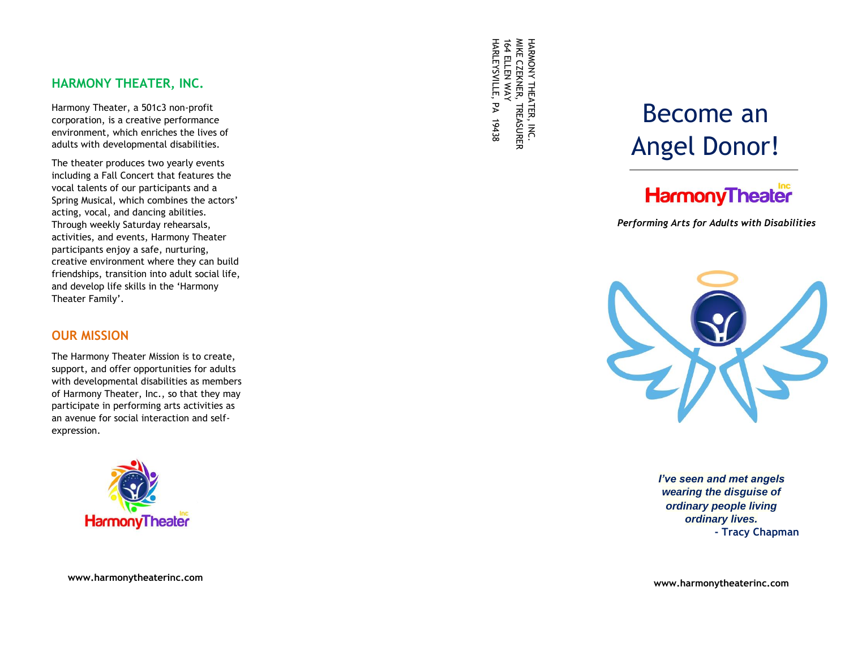## **HARMONY THEATER, INC .**

Harmony Theater, a 501c3 non -profit corporation, is a creative performance environment, which enriches the lives of adults with developmental disabilities.

The theater produces two yearly events including a Fall Concert that features the vocal talents of our participants and a Spring Musical, which combines the actors' acting, vocal, and dancing abilities. Through weekly Saturday rehearsals, activities, and events, Harmony Theater participants enjoy a safe, nurturing, creative environment where they can build friendships, transition into adult social life, and develop life skills in the 'Harmony Theater Family'.

### **OUR MISSION**

The Harmony Theater Mission is to create, support, and offer opportunities for adults with developmental disabilities as members of Harmony Theater, Inc., so that they may participate in performing arts activities as an avenue for social interaction and self expression.



**www .harmonytheaterinc.com**

HARLEYSVILLE 164 ELLEN WAY MIKE CZEKNER, TREASURER HARMONY THEATER, INC. *ARMONY THEATER,* .<br>צ 19438

# Become a n Angel Donor !

## **HarmonyTheater**

*Performing Arts for Adults with Disabilities*



*I've seen and met angels wearing the disguise of ordinary people living ordinary lives.* **- Tracy Chapman**

**www.harmonytheaterinc.com**